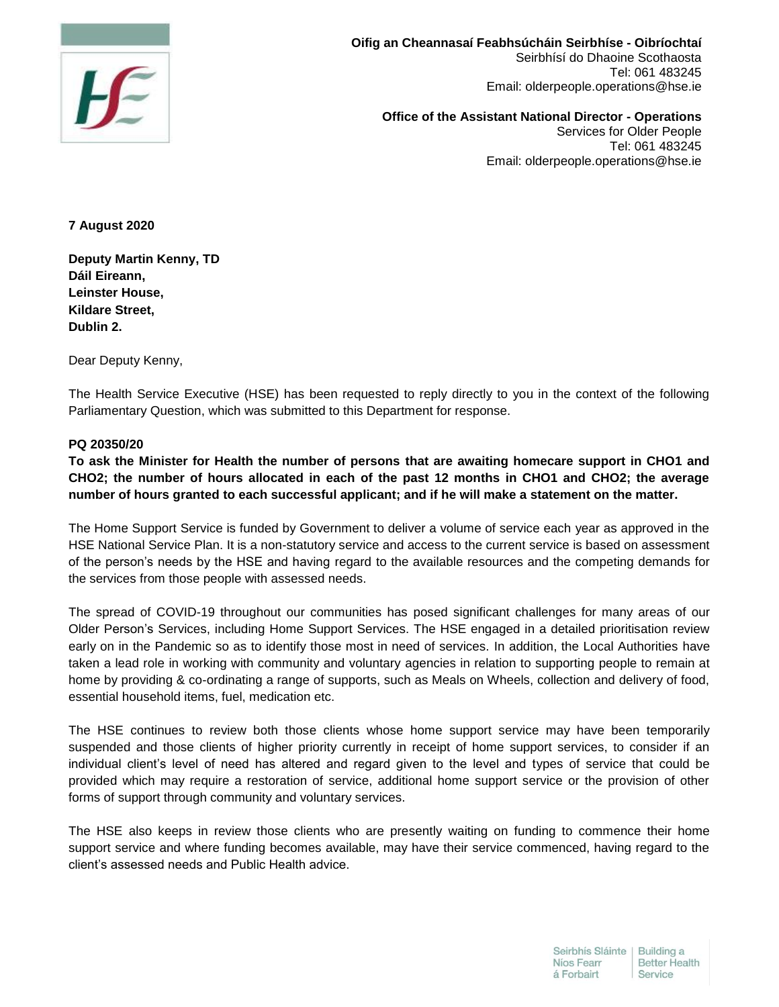

**Oifig an Cheannasaí Feabhsúcháin Seirbhíse - Oibríochtaí**  Seirbhísí do Dhaoine Scothaosta Tel: 061 483245 Email: olderpeople.operations@hse.ie

**Office of the Assistant National Director - Operations**  Services for Older People Tel: 061 483245 Email: olderpeople.operations@hse.ie

**7 August 2020**

**Deputy Martin Kenny, TD Dáil Eireann, Leinster House, Kildare Street, Dublin 2.**

Dear Deputy Kenny,

The Health Service Executive (HSE) has been requested to reply directly to you in the context of the following Parliamentary Question, which was submitted to this Department for response.

## **PQ 20350/20**

**To ask the Minister for Health the number of persons that are awaiting homecare support in CHO1 and CHO2; the number of hours allocated in each of the past 12 months in CHO1 and CHO2; the average number of hours granted to each successful applicant; and if he will make a statement on the matter.**

The Home Support Service is funded by Government to deliver a volume of service each year as approved in the HSE National Service Plan. It is a non-statutory service and access to the current service is based on assessment of the person's needs by the HSE and having regard to the available resources and the competing demands for the services from those people with assessed needs.

The spread of COVID-19 throughout our communities has posed significant challenges for many areas of our Older Person's Services, including Home Support Services. The HSE engaged in a detailed prioritisation review early on in the Pandemic so as to identify those most in need of services. In addition, the Local Authorities have taken a lead role in working with community and voluntary agencies in relation to supporting people to remain at home by providing & co-ordinating a range of supports, such as Meals on Wheels, collection and delivery of food, essential household items, fuel, medication etc.

The HSE continues to review both those clients whose home support service may have been temporarily suspended and those clients of higher priority currently in receipt of home support services, to consider if an individual client's level of need has altered and regard given to the level and types of service that could be provided which may require a restoration of service, additional home support service or the provision of other forms of support through community and voluntary services.

The HSE also keeps in review those clients who are presently waiting on funding to commence their home support service and where funding becomes available, may have their service commenced, having regard to the client's assessed needs and Public Health advice.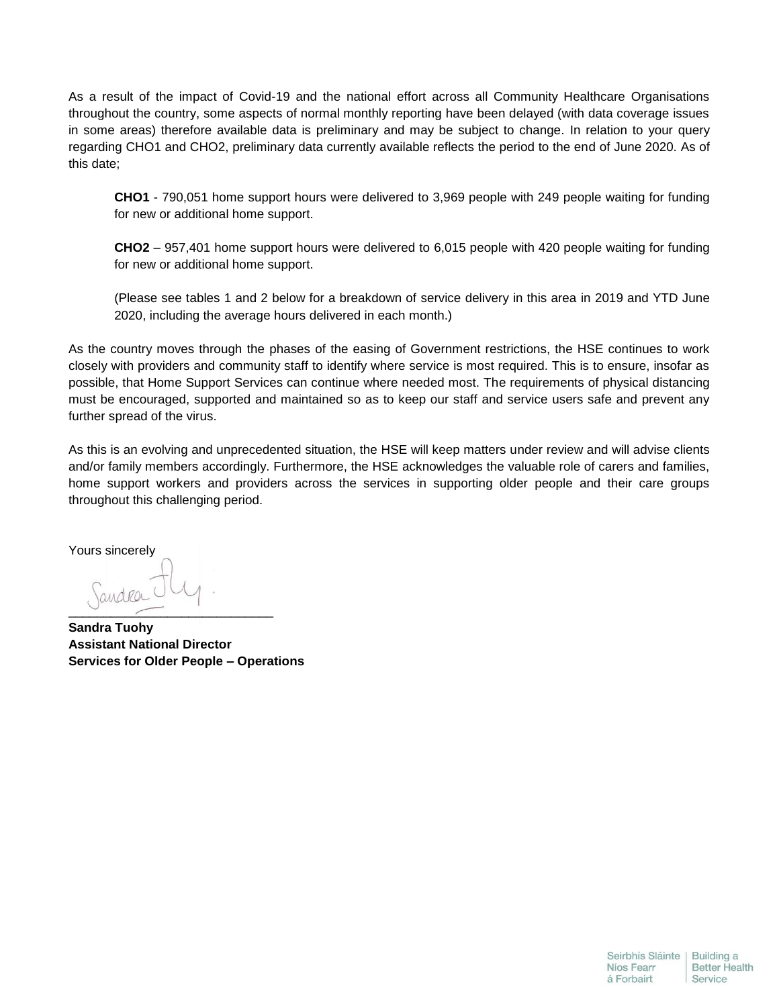As a result of the impact of Covid-19 and the national effort across all Community Healthcare Organisations throughout the country, some aspects of normal monthly reporting have been delayed (with data coverage issues in some areas) therefore available data is preliminary and may be subject to change. In relation to your query regarding CHO1 and CHO2, preliminary data currently available reflects the period to the end of June 2020. As of this date;

**CHO1** - 790,051 home support hours were delivered to 3,969 people with 249 people waiting for funding for new or additional home support.

**CHO2** – 957,401 home support hours were delivered to 6,015 people with 420 people waiting for funding for new or additional home support.

(Please see tables 1 and 2 below for a breakdown of service delivery in this area in 2019 and YTD June 2020, including the average hours delivered in each month.)

As the country moves through the phases of the easing of Government restrictions, the HSE continues to work closely with providers and community staff to identify where service is most required. This is to ensure, insofar as possible, that Home Support Services can continue where needed most. The requirements of physical distancing must be encouraged, supported and maintained so as to keep our staff and service users safe and prevent any further spread of the virus.

As this is an evolving and unprecedented situation, the HSE will keep matters under review and will advise clients and/or family members accordingly. Furthermore, the HSE acknowledges the valuable role of carers and families, home support workers and providers across the services in supporting older people and their care groups throughout this challenging period.

Yours sincerely

\_\_\_\_\_\_\_\_\_\_\_\_\_\_\_\_\_\_\_\_\_\_\_\_\_\_\_\_\_

**Sandra Tuohy Assistant National Director Services for Older People – Operations**